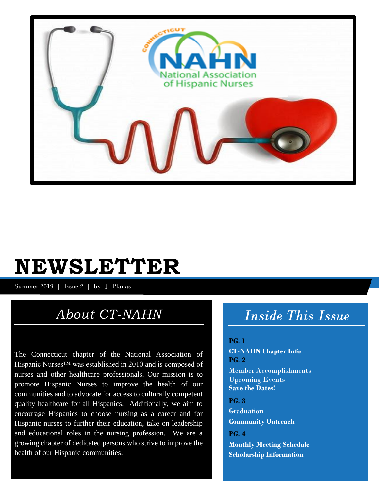

# **NEWSLETTER**

Summer 2019 | Issue 2 | by: J. Planas

# *About CT-NAHN*

The Connecticut chapter of the National Association of Hispanic Nurses™ was established in 2010 and is composed of nurses and other healthcare professionals. Our mission is to promote Hispanic Nurses to improve the health of our communities and to advocate for access to culturally competent quality healthcare for all Hispanics. Additionally, we aim to encourage Hispanics to choose nursing as a career and for Hispanic nurses to further their education, take on leadership and educational roles in the nursing profession. We are a growing chapter of dedicated persons who strive to improve the health of our Hispanic communities.

# *Inside This Issue*

### **PG. 1**

**CT-NAHN Chapter Info PG. 2** Member Accomplishments Upcoming Events **Save the Dates!**

**PG. 3 Graduation Community Outreach**

**PG. 4 Monthly Meeting Schedule Scholarship Information**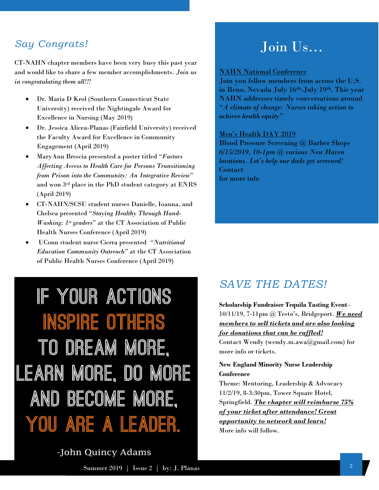## *Say Congrats!*

CT-NAHN chapter members have been very busy this past year and would like to share a few member accomplishments. *Join us in congratulating them all!!!*

- Dr. Maria D Krol (Southern Connecticut State University) received the Nightingale Award for Excellence in Nursing (May 2019)
- Dr. Jessica Alicea-Planas (Fairfield University) received the Faculty Award for Excellence in Community Engagement (April 2019)
- MaryAnn Brescia presented a poster titled "*Factors Affecting Access to Health Care for Persons Transitioning from Prison into the Community: An Integrative Review*" and won 3rd place in the PhD student category at ENRS (April 2019)
- CT-NAHN/SCSU student nurses Danielle, Ioanna, and Chelsea presented "*Staying Healthy Through Hand-Washing: 1st graders*" at the CT Association of Public Health Nurses Conference (April 2019)
- UConn student nurse Cierra presented *"Nutritional Education Community Outreach"* at the CT Association of Public Health Nurses Conference (April 2019)

IF YOUR ACTIONS **INSPIRE OTHERS** TO DREAM MORE, LEARN MORE, DO MORE AND BECOME MORE. YOU ARE A LEADER.

# Join Us…

### NAHN National Conference

Join you fellow members from across the U.S. in Reno, Nevada July 16th-July 19th. This year NAHN addresses timely conversations around *"A climate of change: Nurses taking action to achieve health equity"*

### Men's Health DAY 2019

Blood Pressure Screening @ Barber Shops *6/15/2019, 10-1pm @ various New Haven locations. Let's help our dads get screened!* Contact for more info

# *SAVE THE DATES!*

**Scholarship Fundraiser Tequila Tasting Event**– 10/11/19, 7-11pm @ Testo's, Bridgeport. *We need members to sell tickets and are also looking for donations that can be raffled!* Contact Wendy (wendy.m.awa@gmail.com) for

more info or tickets.

### **New England Minority Nurse Leadership Conference**

Theme: Mentoring, Leadership & Advocacy 11/2/19, 8-3:30pm, Tower Square Hotel, Springfield. *The chapter will reimburse 75% of your ticket after attendance! Great opportunity to network and learn!* More info will follow.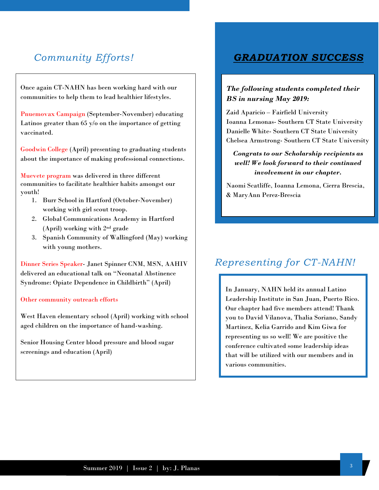Once again CT-NAHN has been working hard with our communities to help them to lead healthier lifestyles.

Pnuemovax Campaign (September-November) educating Latinos greater than 65 y/o on the importance of getting vaccinated.

Goodwin College (April) presenting to graduating students about the importance of making professional connections.

Muevete program was delivered in three different communities to facilitate healthier habits amongst our youth!

- 1. Burr School in Hartford (October-November) working with girl scout troop.
- 2. Global Communications Academy in Hartford (April) working with 2nd grade
- 3. Spanish Community of Wallingford (May) working with young mothers.

Dinner Series Speaker- Janet Spinner CNM, MSN, AAHIV delivered an educational talk on "Neonatal Abstinence Syndrome: Opiate Dependence in Childbirth" (April)

### Other community outreach efforts

West Haven elementary school (April) working with school aged children on the importance of hand-washing.

Senior Housing Center blood pressure and blood sugar screenings and education (April)

### *Community Efforts! GRADUATION SUCCESS*

### *The following students completed their BS in nursing May 2019:*

Zaid Aparicio – Fairfield University Ioanna Lemonas- Southern CT State University Danielle White- Southern CT State University Chelsea Armstrong- Southern CT State University

### *Congrats to our Scholarship recipients as well! We look forward to their continued involvement in our chapter.*

Naomi Scatliffe, Ioanna Lemona, Cierra Brescia, & MaryAnn Perez-Brescia

# *Representing for CT-NAHN!*

In January, NAHN held its annual Latino Leadership Institute in San Juan, Puerto Rico. Our chapter had five members attend! Thank you to David Vilanova, Thalia Soriano, Sandy Martinez, Kelia Garrido and Kim Giwa for representing us so well! We are positive the conference cultivated some leadership ideas that will be utilized with our members and in various communities.